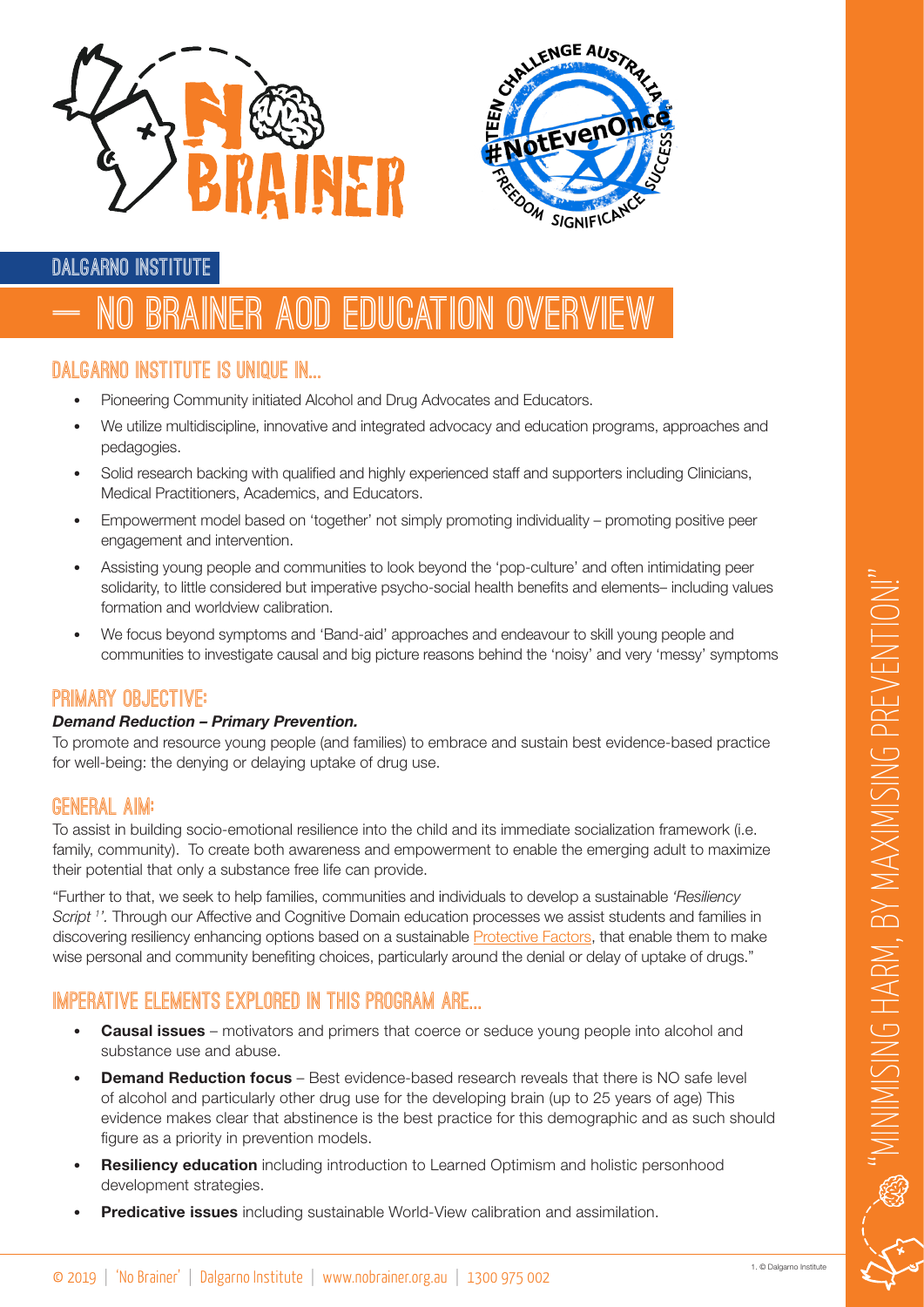



## **Dalgarno Institute**

# **– NO Brainer AOD Education Overview**

## **Dalgarno Institute is unique in...**

- Pioneering Community initiated Alcohol and Drug Advocates and Educators.
- We utilize multidiscipline, innovative and integrated advocacy and education programs, approaches and pedagogies.
- Solid research backing with qualified and highly experienced staff and supporters including Clinicians, Medical Practitioners, Academics, and Educators.
- Empowerment model based on 'together' not simply promoting individuality promoting positive peer engagement and intervention.
- Assisting young people and communities to look beyond the 'pop-culture' and often intimidating peer solidarity, to little considered but imperative psycho-social health benefits and elements– including values formation and worldview calibration.
- We focus beyond symptoms and 'Band-aid' approaches and endeavour to skill young people and communities to investigate causal and big picture reasons behind the 'noisy' and very 'messy' symptoms

## **Primary Objective:**

#### *Demand Reduction – Primary Prevention.*

To promote and resource young people (and families) to embrace and sustain best evidence-based practice for well-being: the denying or delaying uptake of drug use.

#### **General Aim:**

To assist in building socio-emotional resilience into the child and its immediate socialization framework (i.e. family, community). To create both awareness and empowerment to enable the emerging adult to maximize their potential that only a substance free life can provide.

"Further to that, we seek to help families, communities and individuals to develop a sustainable *'Resiliency Script 1 '.* Through our Affective and Cognitive Domain education processes we assist students and families in discovering resiliency enhancing options based on a sustainable [Protective Factors](https://www.search-institute.org/our-research/development-assets/developmental-assets-framework/), that enable them to make wise personal and community benefiting choices, particularly around the denial or delay of uptake of drugs."

## **Imperative elements explored in this program are...**

- **Causal issues** motivators and primers that coerce or seduce young people into alcohol and substance use and abuse.
- **Demand Reduction focus** Best evidence-based research reveals that there is NO safe level of alcohol and particularly other drug use for the developing brain (up to 25 years of age) This evidence makes clear that abstinence is the best practice for this demographic and as such should figure as a priority in prevention models.
- **Resiliency education** including introduction to Learned Optimism and holistic personhood development strategies.
- Predicative issues including sustainable World-View calibration and assimilation.